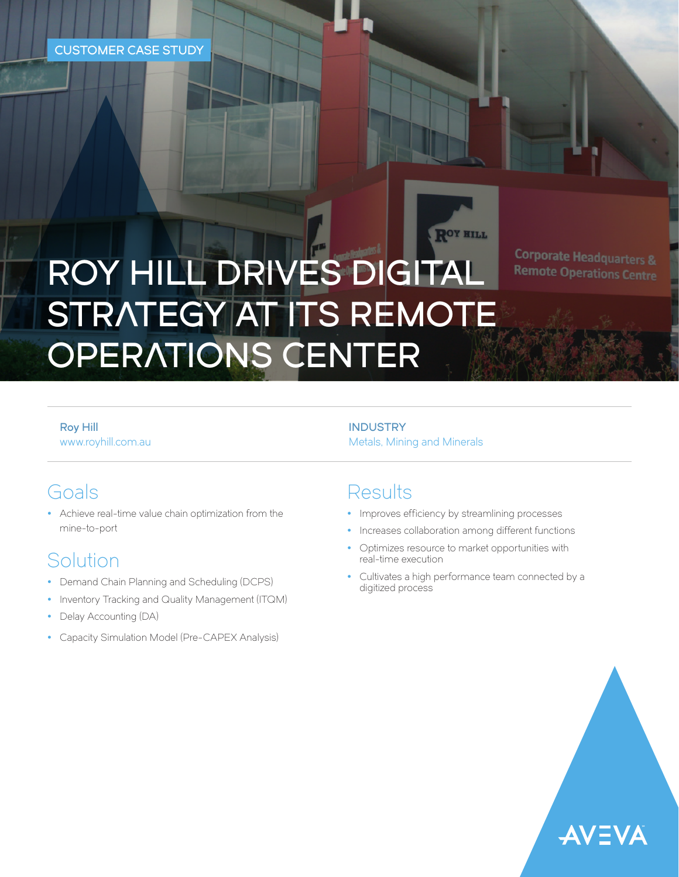# ROY HILL DRIVES DIGITAL STRATEGY AT ITS REMOTE OPERATIONS CENTER

**Corporate Headquarters & Remote Operations Centre** 

Roy Hill [www.royhill.com.au](https://www.royhill.com.au/)

## Goals

• Achieve real-time value chain optimization from the mine-to-port

# Solution

- Demand Chain Planning and Scheduling (DCPS)
- Inventory Tracking and Quality Management (ITQM)
- Delay Accounting (DA)
- Capacity Simulation Model (Pre-CAPEX Analysis)

**INDUSTRY** Metals, Mining and Minerals

## **Results**

- Improves efficiency by streamlining processes
- Increases collaboration among different functions

ROY HILL

- Optimizes resource to market opportunities with real-time execution
- Cultivates a high performance team connected by a digitized process

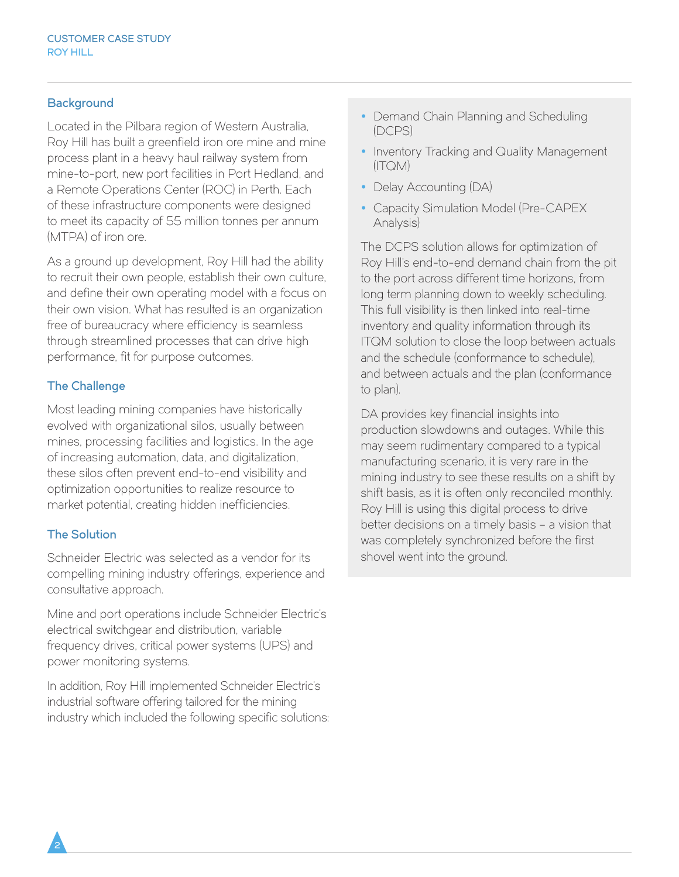## **Background**

Located in the Pilbara region of Western Australia, Roy Hill has built a greenfield iron ore mine and mine process plant in a heavy haul railway system from mine-to-port, new port facilities in Port Hedland, and a Remote Operations Center (ROC) in Perth. Each of these infrastructure components were designed to meet its capacity of 55 million tonnes per annum (MTPA) of iron ore.

As a ground up development, Roy Hill had the ability to recruit their own people, establish their own culture, and define their own operating model with a focus on their own vision. What has resulted is an organization free of bureaucracy where efficiency is seamless through streamlined processes that can drive high performance, fit for purpose outcomes.

### The Challenge

Most leading mining companies have historically evolved with organizational silos, usually between mines, processing facilities and logistics. In the age of increasing automation, data, and digitalization, these silos often prevent end-to-end visibility and optimization opportunities to realize resource to market potential, creating hidden inefficiencies.

#### The Solution

Schneider Electric was selected as a vendor for its compelling mining industry offerings, experience and consultative approach.

Mine and port operations include Schneider Electric's electrical switchgear and distribution, variable frequency drives, critical power systems (UPS) and power monitoring systems.

In addition, Roy Hill implemented Schneider Electric's industrial software offering tailored for the mining industry which included the following specific solutions:

- Demand Chain Planning and Scheduling (DCPS)
- Inventory Tracking and Quality Management (ITQM)
- Delay Accounting (DA)
- Capacity Simulation Model (Pre-CAPEX Analysis)

The DCPS solution allows for optimization of Roy Hill's end-to-end demand chain from the pit to the port across different time horizons, from long term planning down to weekly scheduling. This full visibility is then linked into real-time inventory and quality information through its ITQM solution to close the loop between actuals and the schedule (conformance to schedule), and between actuals and the plan (conformance to plan).

DA provides key financial insights into production slowdowns and outages. While this may seem rudimentary compared to a typical manufacturing scenario, it is very rare in the mining industry to see these results on a shift by shift basis, as it is often only reconciled monthly. Roy Hill is using this digital process to drive better decisions on a timely basis – a vision that was completely synchronized before the first shovel went into the ground.